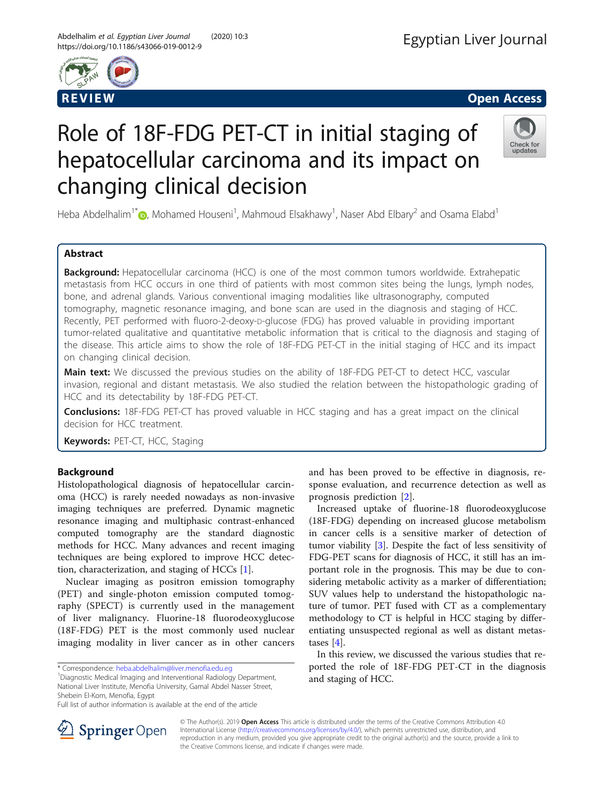



# Role of 18F-FDG PET-CT in initial staging of hepatocellular carcinoma and its impact on changing clinical decision



Heba Abdelhalim<sup>1[\\*](http://orcid.org/0000-0002-4765-7400)</sup>�, Mohamed Houseni<sup>1</sup>, Mahmoud Elsakhawy<sup>1</sup>, Naser Abd Elbary<sup>2</sup> and Osama Elabd<sup>1</sup>

# Abstract

Background: Hepatocellular carcinoma (HCC) is one of the most common tumors worldwide. Extrahepatic metastasis from HCC occurs in one third of patients with most common sites being the lungs, lymph nodes, bone, and adrenal glands. Various conventional imaging modalities like ultrasonography, computed tomography, magnetic resonance imaging, and bone scan are used in the diagnosis and staging of HCC. Recently, PET performed with fluoro-2-deoxy-p-glucose (FDG) has proved valuable in providing important tumor-related qualitative and quantitative metabolic information that is critical to the diagnosis and staging of the disease. This article aims to show the role of 18F-FDG PET-CT in the initial staging of HCC and its impact on changing clinical decision.

Main text: We discussed the previous studies on the ability of 18F-FDG PET-CT to detect HCC, vascular invasion, regional and distant metastasis. We also studied the relation between the histopathologic grading of HCC and its detectability by 18F-FDG PET-CT.

**Conclusions:** 18F-FDG PET-CT has proved valuable in HCC staging and has a great impact on the clinical decision for HCC treatment.

Keywords: PET-CT, HCC, Staging

# Background

Histolopathological diagnosis of hepatocellular carcinoma (HCC) is rarely needed nowadays as non-invasive imaging techniques are preferred. Dynamic magnetic resonance imaging and multiphasic contrast-enhanced computed tomography are the standard diagnostic methods for HCC. Many advances and recent imaging techniques are being explored to improve HCC detection, characterization, and staging of HCCs [[1\]](#page-3-0).

Nuclear imaging as positron emission tomography (PET) and single-photon emission computed tomography (SPECT) is currently used in the management of liver malignancy. Fluorine-18 fluorodeoxyglucose (18F-FDG) PET is the most commonly used nuclear imaging modality in liver cancer as in other cancers

Diagnostic Medical Imaging and Interventional Radiology Department, National Liver Institute, Menofia University, Gamal Abdel Nasser Street, Shebein El-Kom, Menofia, Egypt

and has been proved to be effective in diagnosis, response evaluation, and recurrence detection as well as prognosis prediction [[2\]](#page-3-0).

Increased uptake of fluorine-18 fluorodeoxyglucose (18F-FDG) depending on increased glucose metabolism in cancer cells is a sensitive marker of detection of tumor viability [[3\]](#page-3-0). Despite the fact of less sensitivity of FDG-PET scans for diagnosis of HCC, it still has an important role in the prognosis. This may be due to considering metabolic activity as a marker of differentiation; SUV values help to understand the histopathologic nature of tumor. PET fused with CT as a complementary methodology to CT is helpful in HCC staging by differentiating unsuspected regional as well as distant metastases [\[4](#page-3-0)].

In this review, we discussed the various studies that reported the role of 18F-FDG PET-CT in the diagnosis and staging of HCC.



© The Author(s). 2019 Open Access This article is distributed under the terms of the Creative Commons Attribution 4.0 International License ([http://creativecommons.org/licenses/by/4.0/\)](http://creativecommons.org/licenses/by/4.0/), which permits unrestricted use, distribution, and reproduction in any medium, provided you give appropriate credit to the original author(s) and the source, provide a link to the Creative Commons license, and indicate if changes were made.

<sup>\*</sup> Correspondence: [heba.abdelhalim@liver.menofia.edu.eg](mailto:heba.abdelhalim@liver.menofia.edu.eg) <sup>1</sup>

Full list of author information is available at the end of the article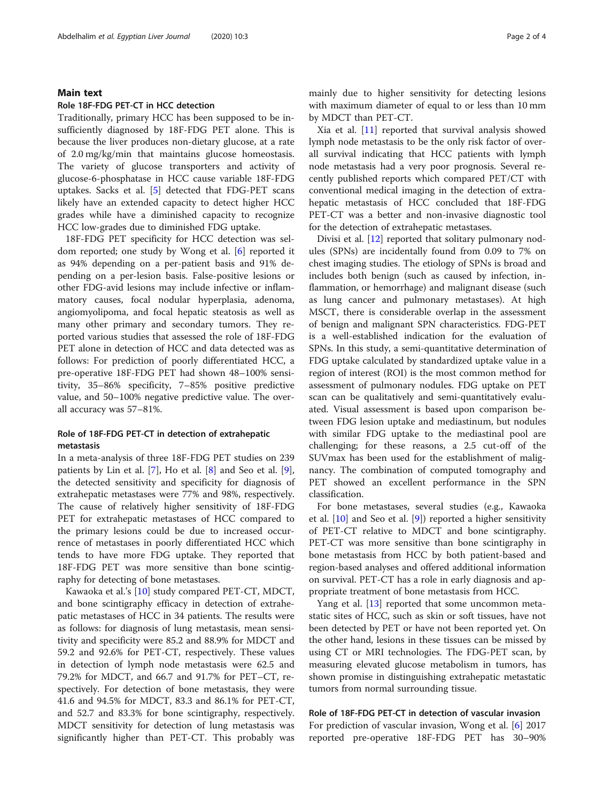#### Main text

#### Role 18F-FDG PET-CT in HCC detection

Traditionally, primary HCC has been supposed to be insufficiently diagnosed by 18F-FDG PET alone. This is because the liver produces non-dietary glucose, at a rate of 2.0 mg/kg/min that maintains glucose homeostasis. The variety of glucose transporters and activity of glucose-6-phosphatase in HCC cause variable 18F-FDG uptakes. Sacks et al. [[5\]](#page-3-0) detected that FDG-PET scans likely have an extended capacity to detect higher HCC grades while have a diminished capacity to recognize HCC low-grades due to diminished FDG uptake.

18F-FDG PET specificity for HCC detection was seldom reported; one study by Wong et al. [\[6](#page-3-0)] reported it as 94% depending on a per-patient basis and 91% depending on a per-lesion basis. False-positive lesions or other FDG-avid lesions may include infective or inflammatory causes, focal nodular hyperplasia, adenoma, angiomyolipoma, and focal hepatic steatosis as well as many other primary and secondary tumors. They reported various studies that assessed the role of 18F-FDG PET alone in detection of HCC and data detected was as follows: For prediction of poorly differentiated HCC, a pre-operative 18F-FDG PET had shown 48–100% sensitivity, 35–86% specificity, 7–85% positive predictive value, and 50–100% negative predictive value. The overall accuracy was 57–81%.

# Role of 18F-FDG PET-CT in detection of extrahepatic metastasis

In a meta-analysis of three 18F-FDG PET studies on 239 patients by Lin et al. [[7\]](#page-3-0), Ho et al. [[8](#page-3-0)] and Seo et al. [\[9](#page-3-0)], the detected sensitivity and specificity for diagnosis of extrahepatic metastases were 77% and 98%, respectively. The cause of relatively higher sensitivity of 18F-FDG PET for extrahepatic metastases of HCC compared to the primary lesions could be due to increased occurrence of metastases in poorly differentiated HCC which tends to have more FDG uptake. They reported that 18F-FDG PET was more sensitive than bone scintigraphy for detecting of bone metastases.

Kawaoka et al.'s [\[10](#page-3-0)] study compared PET-CT, MDCT, and bone scintigraphy efficacy in detection of extrahepatic metastases of HCC in 34 patients. The results were as follows: for diagnosis of lung metastasis, mean sensitivity and specificity were 85.2 and 88.9% for MDCT and 59.2 and 92.6% for PET-CT, respectively. These values in detection of lymph node metastasis were 62.5 and 79.2% for MDCT, and 66.7 and 91.7% for PET–CT, respectively. For detection of bone metastasis, they were 41.6 and 94.5% for MDCT, 83.3 and 86.1% for PET-CT, and 52.7 and 83.3% for bone scintigraphy, respectively. MDCT sensitivity for detection of lung metastasis was significantly higher than PET-CT. This probably was mainly due to higher sensitivity for detecting lesions with maximum diameter of equal to or less than 10 mm by MDCT than PET-CT.

Xia et al. [\[11](#page-3-0)] reported that survival analysis showed lymph node metastasis to be the only risk factor of overall survival indicating that HCC patients with lymph node metastasis had a very poor prognosis. Several recently published reports which compared PET/CT with conventional medical imaging in the detection of extrahepatic metastasis of HCC concluded that 18F-FDG PET-CT was a better and non-invasive diagnostic tool for the detection of extrahepatic metastases.

Divisi et al. [\[12](#page-3-0)] reported that solitary pulmonary nodules (SPNs) are incidentally found from 0.09 to 7% on chest imaging studies. The etiology of SPNs is broad and includes both benign (such as caused by infection, inflammation, or hemorrhage) and malignant disease (such as lung cancer and pulmonary metastases). At high MSCT, there is considerable overlap in the assessment of benign and malignant SPN characteristics. FDG-PET is a well-established indication for the evaluation of SPNs. In this study, a semi-quantitative determination of FDG uptake calculated by standardized uptake value in a region of interest (ROI) is the most common method for assessment of pulmonary nodules. FDG uptake on PET scan can be qualitatively and semi-quantitatively evaluated. Visual assessment is based upon comparison between FDG lesion uptake and mediastinum, but nodules with similar FDG uptake to the mediastinal pool are challenging; for these reasons, a 2.5 cut-off of the SUVmax has been used for the establishment of malignancy. The combination of computed tomography and PET showed an excellent performance in the SPN classification.

For bone metastases, several studies (e.g., Kawaoka et al. [[10\]](#page-3-0) and Seo et al. [\[9](#page-3-0)]) reported a higher sensitivity of PET-CT relative to MDCT and bone scintigraphy. PET-CT was more sensitive than bone scintigraphy in bone metastasis from HCC by both patient-based and region-based analyses and offered additional information on survival. PET-CT has a role in early diagnosis and appropriate treatment of bone metastasis from HCC.

Yang et al. [\[13\]](#page-3-0) reported that some uncommon metastatic sites of HCC, such as skin or soft tissues, have not been detected by PET or have not been reported yet. On the other hand, lesions in these tissues can be missed by using CT or MRI technologies. The FDG-PET scan, by measuring elevated glucose metabolism in tumors, has shown promise in distinguishing extrahepatic metastatic tumors from normal surrounding tissue.

### Role of 18F-FDG PET-CT in detection of vascular invasion

For prediction of vascular invasion, Wong et al. [[6\]](#page-3-0) 2017 reported pre-operative 18F-FDG PET has 30–90%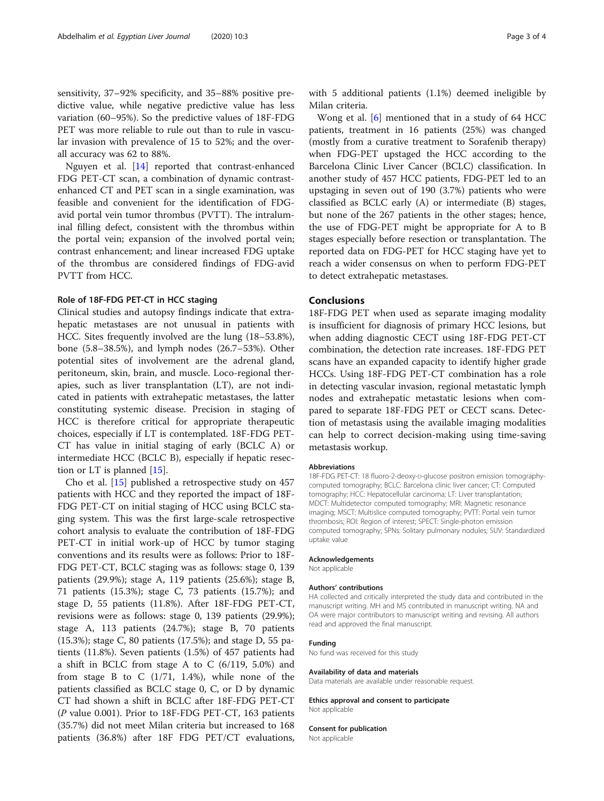sensitivity, 37–92% specificity, and 35–88% positive predictive value, while negative predictive value has less variation (60–95%). So the predictive values of 18F-FDG PET was more reliable to rule out than to rule in vascular invasion with prevalence of 15 to 52%; and the overall accuracy was 62 to 88%.

Nguyen et al. [[14](#page-3-0)] reported that contrast-enhanced FDG PET-CT scan, a combination of dynamic contrastenhanced CT and PET scan in a single examination, was feasible and convenient for the identification of FDGavid portal vein tumor thrombus (PVTT). The intraluminal filling defect, consistent with the thrombus within the portal vein; expansion of the involved portal vein; contrast enhancement; and linear increased FDG uptake of the thrombus are considered findings of FDG-avid PVTT from HCC.

#### Role of 18F-FDG PET-CT in HCC staging

Clinical studies and autopsy findings indicate that extrahepatic metastases are not unusual in patients with HCC. Sites frequently involved are the lung (18–53.8%), bone (5.8–38.5%), and lymph nodes (26.7–53%). Other potential sites of involvement are the adrenal gland, peritoneum, skin, brain, and muscle. Loco-regional therapies, such as liver transplantation (LT), are not indicated in patients with extrahepatic metastases, the latter constituting systemic disease. Precision in staging of HCC is therefore critical for appropriate therapeutic choices, especially if LT is contemplated. 18F-FDG PET-CT has value in initial staging of early (BCLC A) or intermediate HCC (BCLC B), especially if hepatic resection or LT is planned [[15](#page-3-0)].

Cho et al. [\[15](#page-3-0)] published a retrospective study on 457 patients with HCC and they reported the impact of 18F-FDG PET-CT on initial staging of HCC using BCLC staging system. This was the first large-scale retrospective cohort analysis to evaluate the contribution of 18F-FDG PET-CT in initial work-up of HCC by tumor staging conventions and its results were as follows: Prior to 18F-FDG PET-CT, BCLC staging was as follows: stage 0, 139 patients (29.9%); stage A, 119 patients (25.6%); stage B, 71 patients (15.3%); stage C, 73 patients (15.7%); and stage D, 55 patients (11.8%). After 18F-FDG PET-CT, revisions were as follows: stage 0, 139 patients (29.9%); stage A, 113 patients (24.7%); stage B, 70 patients (15.3%); stage C, 80 patients (17.5%); and stage D, 55 patients (11.8%). Seven patients (1.5%) of 457 patients had a shift in BCLC from stage A to C (6/119, 5.0%) and from stage B to C  $(1/71, 1.4%)$ , while none of the patients classified as BCLC stage 0, C, or D by dynamic CT had shown a shift in BCLC after 18F-FDG PET-CT (P value 0.001). Prior to 18F-FDG PET-CT, 163 patients (35.7%) did not meet Milan criteria but increased to 168 patients (36.8%) after 18F FDG PET/CT evaluations,

with 5 additional patients (1.1%) deemed ineligible by Milan criteria.

Wong et al. [[6\]](#page-3-0) mentioned that in a study of 64 HCC patients, treatment in 16 patients (25%) was changed (mostly from a curative treatment to Sorafenib therapy) when FDG-PET upstaged the HCC according to the Barcelona Clinic Liver Cancer (BCLC) classification. In another study of 457 HCC patients, FDG-PET led to an upstaging in seven out of 190 (3.7%) patients who were classified as BCLC early (A) or intermediate (B) stages, but none of the 267 patients in the other stages; hence, the use of FDG-PET might be appropriate for A to B stages especially before resection or transplantation. The reported data on FDG-PET for HCC staging have yet to reach a wider consensus on when to perform FDG-PET to detect extrahepatic metastases.

#### Conclusions

18F-FDG PET when used as separate imaging modality is insufficient for diagnosis of primary HCC lesions, but when adding diagnostic CECT using 18F-FDG PET-CT combination, the detection rate increases. 18F-FDG PET scans have an expanded capacity to identify higher grade HCCs. Using 18F-FDG PET-CT combination has a role in detecting vascular invasion, regional metastatic lymph nodes and extrahepatic metastatic lesions when compared to separate 18F-FDG PET or CECT scans. Detection of metastasis using the available imaging modalities can help to correct decision-making using time-saving metastasis workup.

#### Abbreviations

18F-FDG PET-CT: 18 fluoro-2-deoxy-D-glucose positron emission tomographycomputed tomography; BCLC: Barcelona clinic liver cancer; CT: Computed tomography; HCC: Hepatocellular carcinoma; LT: Liver transplantation; MDCT: Multidetector computed tomography; MRI: Magnetic resonance imaging; MSCT: Multislice computed tomography; PVTT: Portal vein tumor thrombosis; ROI: Region of interest; SPECT: Single-photon emission computed tomography; SPNs: Solitary pulmonary nodules; SUV: Standardized uptake value

#### Acknowledgements

Not applicable

#### Authors' contributions

HA collected and critically interpreted the study data and contributed in the manuscript writing. MH and MS contributed in manuscript writing. NA and OA were major contributors to manuscript writing and revising. All authors read and approved the final manuscript.

#### Funding

No fund was received for this study

#### Availability of data and materials

Data materials are available under reasonable request.

Ethics approval and consent to participate Not applicable

#### Consent for publication

Not applicable